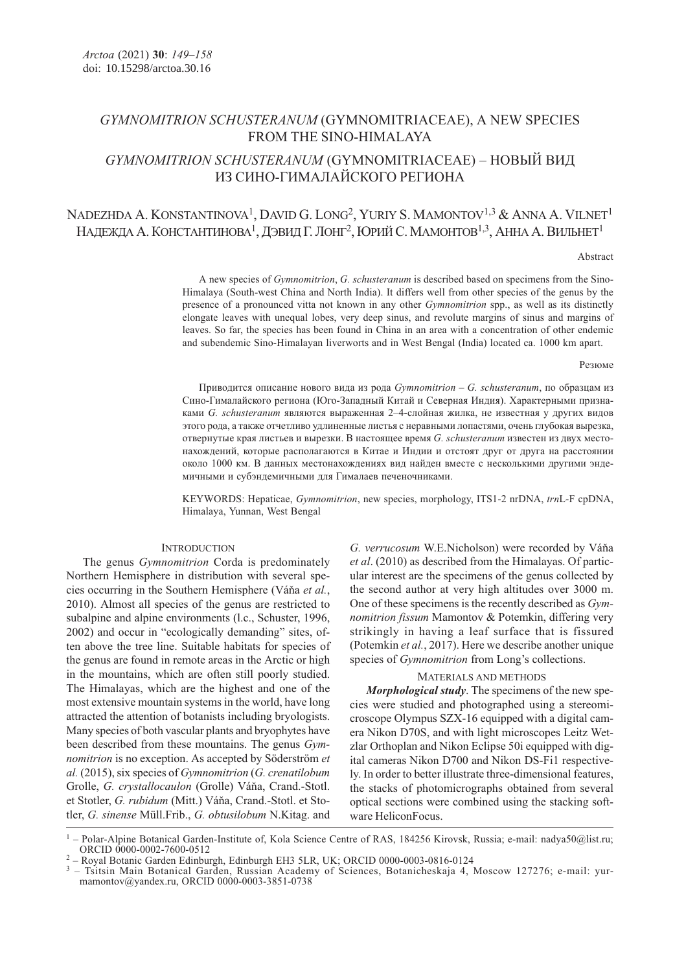## GYMNOMITRION SCHUSTERANUM (GYMNOMITRIACEAE), A NEW SPECIES FROM THE SINO-HIMALAYA

# GYMNOMITRION SCHUSTERANUM (GYMNOMITRIACEAE) – НОВЫЙ ВИД ИЗ СИНО-ГИМАЛАЙСКОГО РЕГИОНА

# NADEZHDA A. KONSTANTINOVA<sup>1</sup>, DAVID G. LONG<sup>2</sup>, YURIY S. MAMONTOV<sup>1,3</sup> & ANNA A. VILNET<sup>1</sup> НАДЕЖДА А. КОНСТАНТИНОВА $^1$ , ДЭВИД Г. ЛОНГ $^2$ , Юрий С. Мамонтов $^{1,3}$ , Анна А. Вильнет $^1$

#### Abstract

A new species of Gymnomitrion, G. schusteranum is described based on specimens from the Sino-Himalaya (South-west China and North India). It differs well from other species of the genus by the presence of a pronounced vitta not known in any other Gymnomitrion spp., as well as its distinctly elongate leaves with unequal lobes, very deep sinus, and revolute margins of sinus and margins of leaves. So far, the species has been found in China in an area with a concentration of other endemic and subendemic Sino-Himalayan liverworts and in West Bengal (India) located ca. 1000 km apart.

#### Резюме

Приводится описание нового вида из рода  $Gymnomitrion - G$ . schusteranum, по образцам из Сино-Гималайского региона (Юго-Западный Китай и Северная Индия). Характерными признаками G. schusteranum являются выраженная 2–4-слойная жилка, не известная у других видов этого рода, а также отчетливо удлиненные листья с неравными лопастями, очень глубокая вырезка, отвернутые края листьев и вырезки. В настоящее время G. schusteranum известен из двух местонахождений, которые располагаются в Китае и Индии и отстоят друг от друга на расстоянии около 1000 км. В данных местонахождениях вид найден вместе с несколькими другими эндемичными и субэндемичными для Гималаев печеночниками.

KEYWORDS: Hepaticae, Gymnomitrion, new species, morphology, ITS1-2 nrDNA, trnL-F cpDNA, Himalaya, Yunnan, West Bengal

## **INTRODUCTION**

The genus *Gymnomitrion* Corda is predominately Northern Hemisphere in distribution with several species occurring in the Southern Hemisphere (Váňa et al., 2010). Almost all species of the genus are restricted to subalpine and alpine environments (l.c., Schuster, 1996, 2002) and occur in "ecologically demanding" sites, often above the tree line. Suitable habitats for species of the genus are found in remote areas in the Arctic or high in the mountains, which are often still poorly studied. The Himalayas, which are the highest and one of the most extensive mountain systems in the world, have long attracted the attention of botanists including bryologists. Many species of both vascular plants and bryophytes have been described from these mountains. The genus Gymnomitrion is no exception. As accepted by Söderström et al. (2015), six species of Gymnomitrion (G. crenatilobum Grolle, G. crystallocaulon (Grolle) Váňa, Crand.-Stotl. et Stotler, G. rubidum (Mitt.) Váňa, Crand.-Stotl. et Stotler, G. sinense Müll.Frib., G. obtusilobum N.Kitag. and

G. verrucosum W.E.Nicholson) were recorded by Váňa et al. (2010) as described from the Himalayas. Of particular interest are the specimens of the genus collected by the second author at very high altitudes over 3000 m. One of these specimens is the recently described as Gymnomitrion fissum Mamontov & Potemkin, differing very strikingly in having a leaf surface that is fissured (Potemkin et al., 2017). Here we describe another unique species of *Gymnomitrion* from Long's collections.

## MATERIALS AND METHODS

Morphological study. The specimens of the new species were studied and photographed using a stereomicroscope Olympus SZX-16 equipped with a digital camera Nikon D70S, and with light microscopes Leitz Wetzlar Orthoplan and Nikon Eclipse 50i equipped with digital cameras Nikon D700 and Nikon DS-Fi1 respectively. In order to better illustrate three-dimensional features, the stacks of photomicrographs obtained from several optical sections were combined using the stacking software HeliconFocus.

<sup>&</sup>lt;sup>1</sup> – Polar-Alpine Botanical Garden-Institute of, Kola Science Centre of RAS, 184256 Kirovsk, Russia; e-mail: nadya50@list.ru; ORCID 0000-0002-7600-0512

<sup>-</sup> Royal Botanic Garden Edinburgh, Edinburgh EH3 5LR, UK; ORCID 0000-0003-0816-0124

<sup>3</sup> – Tsitsin Main Botanical Garden, Russian Academy of Sciences, Botanicheskaja 4, Moscow 127276; e-mail: yurmamontov@yandex.ru, ORCID 0000-0003-3851-0738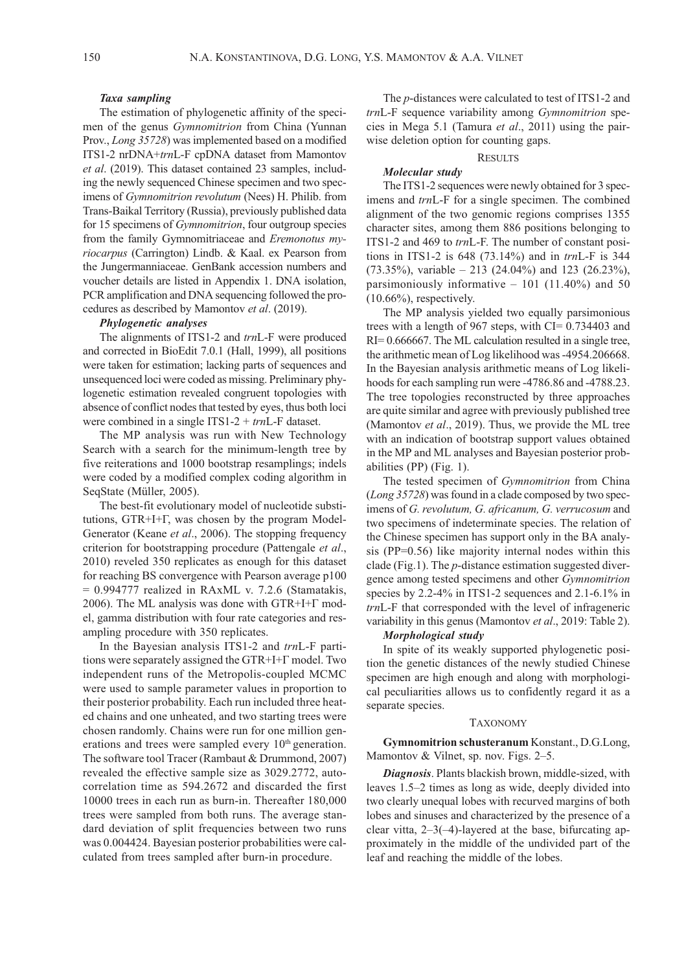## Taxa sampling

The estimation of phylogenetic affinity of the specimen of the genus Gymnomitrion from China (Yunnan Prov., Long 35728) was implemented based on a modified ITS1-2 nrDNA+trnL-F cpDNA dataset from Mamontov et al. (2019). This dataset contained 23 samples, including the newly sequenced Chinese specimen and two specimens of Gymnomitrion revolutum (Nees) H. Philib. from Trans-Baikal Territory (Russia), previously published data for 15 specimens of *Gymnomitrion*, four outgroup species from the family Gymnomitriaceae and Eremonotus myriocarpus (Carrington) Lindb. & Kaal. ex Pearson from the Jungermanniaceae. GenBank accession numbers and voucher details are listed in Appendix 1. DNA isolation, PCR amplification and DNA sequencing followed the procedures as described by Mamontov et al. (2019).

## Phylogenetic analyses

The alignments of ITS1-2 and trnL-F were produced and corrected in BioEdit 7.0.1 (Hall, 1999), all positions were taken for estimation; lacking parts of sequences and unsequenced loci were coded as missing. Preliminary phylogenetic estimation revealed congruent topologies with absence of conflict nodes that tested by eyes, thus both loci were combined in a single ITS1-2 +  $trnL$ -F dataset.

The MP analysis was run with New Technology Search with a search for the minimum-length tree by five reiterations and 1000 bootstrap resamplings; indels were coded by a modified complex coding algorithm in SeqState (Müller, 2005).

The best-fit evolutionary model of nucleotide substitutions, GTR+I+Г, was chosen by the program Model-Generator (Keane *et al.*, 2006). The stopping frequency criterion for bootstrapping procedure (Pattengale et al., 2010) reveled 350 replicates as enough for this dataset for reaching BS convergence with Pearson average p100  $= 0.994777$  realized in RAxML v. 7.2.6 (Stamatakis, 2006). The ML analysis was done with GTR+I+Г model, gamma distribution with four rate categories and resampling procedure with 350 replicates.

In the Bayesian analysis ITS1-2 and trnL-F partitions were separately assigned the GTR+I+Г model. Two independent runs of the Metropolis-coupled MCMC were used to sample parameter values in proportion to their posterior probability. Each run included three heated chains and one unheated, and two starting trees were chosen randomly. Chains were run for one million generations and trees were sampled every  $10<sup>th</sup>$  generation. The software tool Tracer (Rambaut & Drummond, 2007) revealed the effective sample size as 3029.2772, autocorrelation time as 594.2672 and discarded the first 10000 trees in each run as burn-in. Thereafter 180,000 trees were sampled from both runs. The average standard deviation of split frequencies between two runs was 0.004424. Bayesian posterior probabilities were calculated from trees sampled after burn-in procedure.

The p-distances were calculated to test of ITS1-2 and trnL-F sequence variability among Gymnomitrion species in Mega 5.1 (Tamura et al., 2011) using the pairwise deletion option for counting gaps.

### **RESULTS**

### Molecular study

The ITS1-2 sequences were newly obtained for 3 specimens and trnL-F for a single specimen. The combined alignment of the two genomic regions comprises 1355 character sites, among them 886 positions belonging to ITS1-2 and 469 to trnL-F. The number of constant positions in ITS1-2 is 648 (73.14%) and in trnL-F is 344  $(73.35\%)$ , variable – 213 (24.04%) and 123 (26.23%), parsimoniously informative  $-101$  (11.40%) and 50  $(10.66\%)$ , respectively.

The MP analysis yielded two equally parsimonious trees with a length of 967 steps, with CI= 0.734403 and RI= 0.666667. The ML calculation resulted in a single tree, the arithmetic mean of Log likelihood was -4954.206668. In the Bayesian analysis arithmetic means of Log likelihoods for each sampling run were -4786.86 and -4788.23. The tree topologies reconstructed by three approaches are quite similar and agree with previously published tree (Mamontov et al., 2019). Thus, we provide the ML tree with an indication of bootstrap support values obtained in the MP and ML analyses and Bayesian posterior probabilities (PP) (Fig. 1).

The tested specimen of *Gymnomitrion* from China (Long 35728) was found in a clade composed by two specimens of G. revolutum, G. africanum, G. verrucosum and two specimens of indeterminate species. The relation of the Chinese specimen has support only in the BA analysis (PP=0.56) like majority internal nodes within this clade (Fig.1). The p-distance estimation suggested divergence among tested specimens and other Gymnomitrion species by 2.2-4% in ITS1-2 sequences and 2.1-6.1% in trnL-F that corresponded with the level of infrageneric variability in this genus (Mamontov et al., 2019: Table 2).

## Morphological study

In spite of its weakly supported phylogenetic position the genetic distances of the newly studied Chinese specimen are high enough and along with morphological peculiarities allows us to confidently regard it as a separate species.

## TAXONOMY

Gymnomitrion schusteranum Konstant., D.G.Long, Mamontov & Vilnet, sp. nov. Figs. 2–5.

Diagnosis. Plants blackish brown, middle-sized, with leaves 1.5–2 times as long as wide, deeply divided into two clearly unequal lobes with recurved margins of both lobes and sinuses and characterized by the presence of a clear vitta, 2–3(–4)-layered at the base, bifurcating approximately in the middle of the undivided part of the leaf and reaching the middle of the lobes.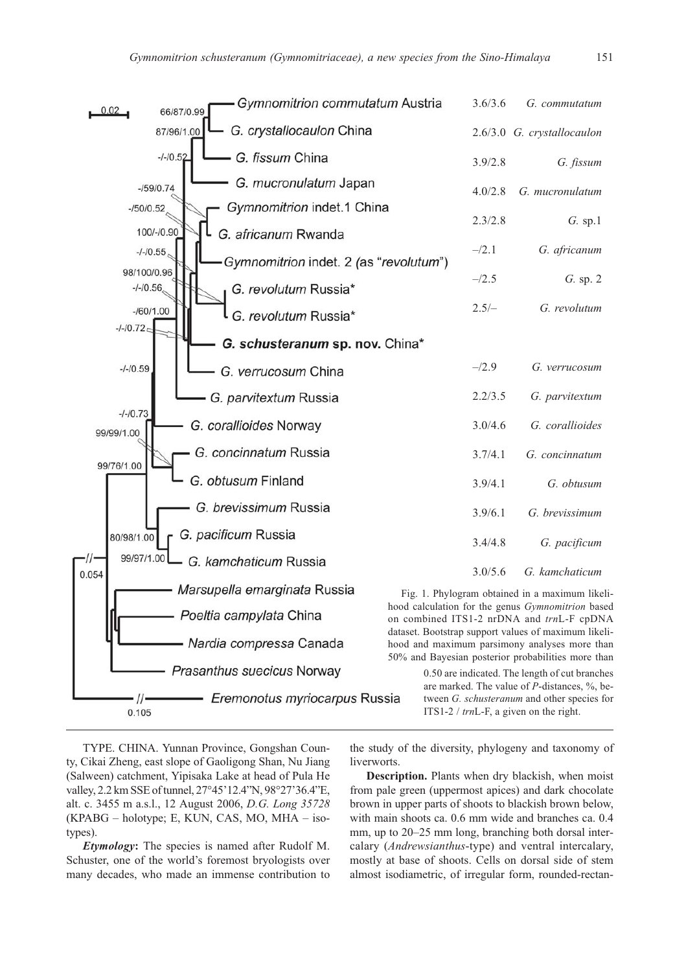

TYPE. CHINA. Yunnan Province, Gongshan County, Cikai Zheng, east slope of Gaoligong Shan, Nu Jiang (Salween) catchment, Yipisaka Lake at head of Pula He valley, 2.2 km SSE of tunnel, 27°45'12.4"N, 98°27'36.4"E, alt. c. 3455 m a.s.l., 12 August 2006, D.G. Long 35728 (KPABG – holotype; E, KUN, CAS, MO, MHA – isotypes).

Etymology: The species is named after Rudolf M. Schuster, one of the world's foremost bryologists over many decades, who made an immense contribution to

the study of the diversity, phylogeny and taxonomy of liverworts.

Description. Plants when dry blackish, when moist from pale green (uppermost apices) and dark chocolate brown in upper parts of shoots to blackish brown below, with main shoots ca. 0.6 mm wide and branches ca. 0.4 mm, up to 20–25 mm long, branching both dorsal intercalary (Andrewsianthus-type) and ventral intercalary, mostly at base of shoots. Cells on dorsal side of stem almost isodiametric, of irregular form, rounded-rectan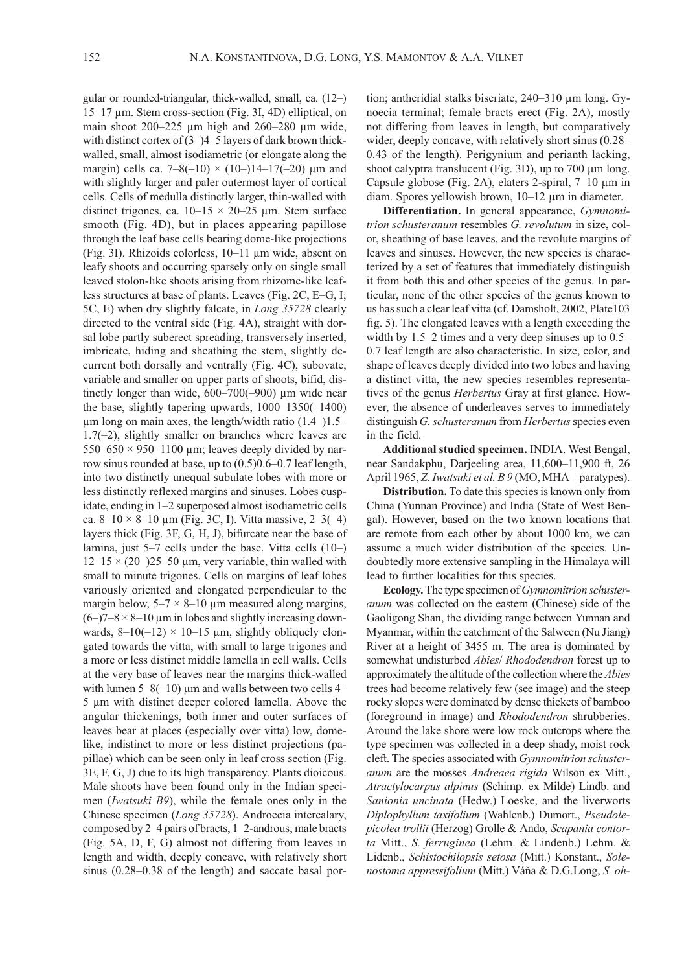gular or rounded-triangular, thick-walled, small, ca. (12–) 15–17 μm. Stem cross-section (Fig. 3I, 4D) elliptical, on main shoot 200–225 μm high and 260–280 μm wide, with distinct cortex of  $(3-)4-5$  layers of dark brown thickwalled, small, almost isodiametric (or elongate along the margin) cells ca.  $7-8(-10) \times (10-)14-17(-20)$  µm and with slightly larger and paler outermost layer of cortical cells. Cells of medulla distinctly larger, thin-walled with distinct trigones, ca.  $10-15 \times 20-25$  µm. Stem surface smooth (Fig. 4D), but in places appearing papillose through the leaf base cells bearing dome-like projections (Fig. 3I). Rhizoids colorless, 10–11 μm wide, absent on leafy shoots and occurring sparsely only on single small leaved stolon-like shoots arising from rhizome-like leafless structures at base of plants. Leaves (Fig. 2C, E–G, I; 5C, E) when dry slightly falcate, in Long 35728 clearly directed to the ventral side (Fig. 4A), straight with dorsal lobe partly suberect spreading, transversely inserted, imbricate, hiding and sheathing the stem, slightly decurrent both dorsally and ventrally (Fig. 4C), subovate, variable and smaller on upper parts of shoots, bifid, distinctly longer than wide, 600–700(–900) μm wide near the base, slightly tapering upwards, 1000–1350(–1400) μm long on main axes, the length/width ratio (1.4–)1.5– 1.7(–2), slightly smaller on branches where leaves are  $550-650 \times 950-1100$  µm; leaves deeply divided by narrow sinus rounded at base, up to (0.5)0.6–0.7 leaf length, into two distinctly unequal subulate lobes with more or less distinctly reflexed margins and sinuses. Lobes cuspidate, ending in 1–2 superposed almost isodiametric cells ca. 8–10 × 8–10 μm (Fig. 3C, I). Vitta massive, 2–3(–4) layers thick (Fig. 3F, G, H, J), bifurcate near the base of lamina, just 5–7 cells under the base. Vitta cells (10–)  $12-15 \times (20-)25-50 \mu m$ , very variable, thin walled with small to minute trigones. Cells on margins of leaf lobes variously oriented and elongated perpendicular to the margin below,  $5-7 \times 8-10$  µm measured along margins,  $(6-)7-8 \times 8-10$  µm in lobes and slightly increasing downwards,  $8-10(-12) \times 10-15$  µm, slightly obliquely elongated towards the vitta, with small to large trigones and a more or less distinct middle lamella in cell walls. Cells at the very base of leaves near the margins thick-walled with lumen  $5-8(-10)$  µm and walls between two cells 4– 5 μm with distinct deeper colored lamella. Above the angular thickenings, both inner and outer surfaces of leaves bear at places (especially over vitta) low, domelike, indistinct to more or less distinct projections (papillae) which can be seen only in leaf cross section (Fig. 3E, F, G, J) due to its high transparency. Plants dioicous. Male shoots have been found only in the Indian specimen (Iwatsuki B9), while the female ones only in the Chinese specimen (Long 35728). Androecia intercalary, composed by 2–4 pairs of bracts, 1–2-androus; male bracts (Fig. 5A, D, F, G) almost not differing from leaves in length and width, deeply concave, with relatively short sinus (0.28–0.38 of the length) and saccate basal portion; antheridial stalks biseriate, 240–310 μm long. Gynoecia terminal; female bracts erect (Fig. 2A), mostly not differing from leaves in length, but comparatively wider, deeply concave, with relatively short sinus (0.28– 0.43 of the length). Perigynium and perianth lacking, shoot calyptra translucent (Fig. 3D), up to 700 μm long. Capsule globose (Fig. 2A), elaters 2-spiral, 7–10 μm in diam. Spores yellowish brown, 10–12 μm in diameter.

Differentiation. In general appearance, Gymnomitrion schusteranum resembles G. revolutum in size, color, sheathing of base leaves, and the revolute margins of leaves and sinuses. However, the new species is characterized by a set of features that immediately distinguish it from both this and other species of the genus. In particular, none of the other species of the genus known to us has such a clear leaf vitta (cf. Damsholt, 2002, Plate103 fig. 5). The elongated leaves with a length exceeding the width by 1.5–2 times and a very deep sinuses up to 0.5– 0.7 leaf length are also characteristic. In size, color, and shape of leaves deeply divided into two lobes and having a distinct vitta, the new species resembles representatives of the genus Herbertus Gray at first glance. However, the absence of underleaves serves to immediately distinguish G. schusteranum from Herbertus species even in the field.

Additional studied specimen. INDIA. West Bengal, near Sandakphu, Darjeeling area, 11,600–11,900 ft, 26 April 1965, Z. Iwatsuki et al. B 9 (MO, MHA – paratypes).

Distribution. To date this species is known only from China (Yunnan Province) and India (State of West Bengal). However, based on the two known locations that are remote from each other by about 1000 km, we can assume a much wider distribution of the species. Undoubtedly more extensive sampling in the Himalaya will lead to further localities for this species.

Ecology. The type specimen of Gymnomitrion schusteranum was collected on the eastern (Chinese) side of the Gaoligong Shan, the dividing range between Yunnan and Myanmar, within the catchment of the Salween (Nu Jiang) River at a height of 3455 m. The area is dominated by somewhat undisturbed Abies/ Rhododendron forest up to approximately the altitude of the collection where the Abies trees had become relatively few (see image) and the steep rocky slopes were dominated by dense thickets of bamboo (foreground in image) and Rhododendron shrubberies. Around the lake shore were low rock outcrops where the type specimen was collected in a deep shady, moist rock cleft. The species associated with Gymnomitrion schusteranum are the mosses Andreaea rigida Wilson ex Mitt., Atractylocarpus alpinus (Schimp. ex Milde) Lindb. and Sanionia uncinata (Hedw.) Loeske, and the liverworts Diplophyllum taxifolium (Wahlenb.) Dumort., Pseudolepicolea trollii (Herzog) Grolle & Ando, Scapania contorta Mitt., S. ferruginea (Lehm. & Lindenb.) Lehm. & Lidenb., Schistochilopsis setosa (Mitt.) Konstant., Solenostoma appressifolium (Mitt.) Váňa & D.G.Long, S. oh-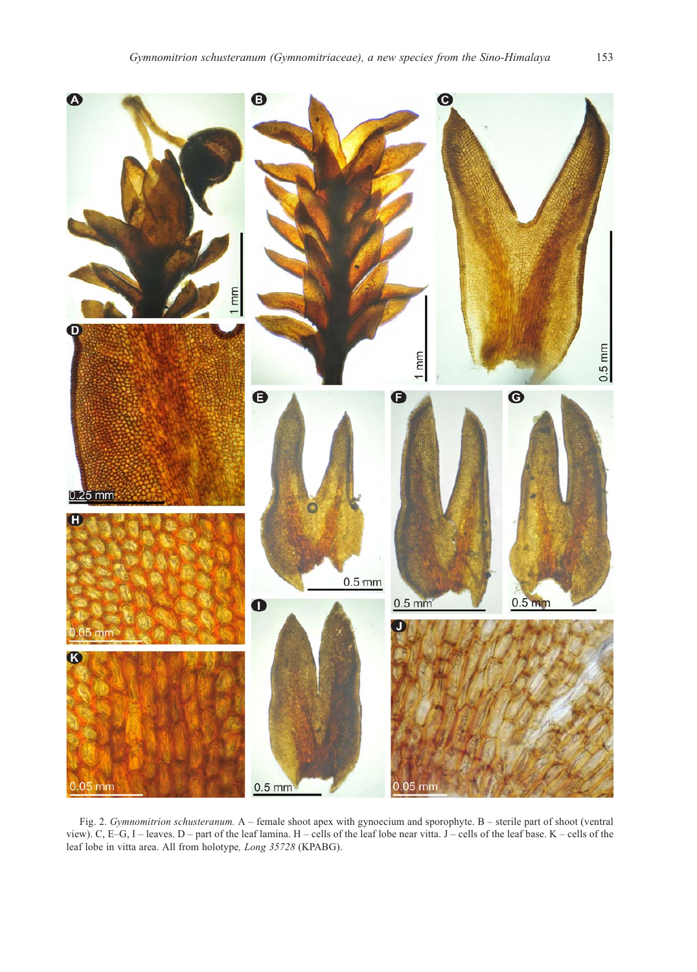

Fig. 2. Gymnomitrion schusteranum. A – female shoot apex with gynoecium and sporophyte. B – sterile part of shoot (ventral view). C, E–G, I – leaves. D – part of the leaf lamina. H – cells of the leaf lobe near vitta. J – cells of the leaf base. K – cells of the leaf lobe in vitta area. All from holotype, Long 35728 (KPABG).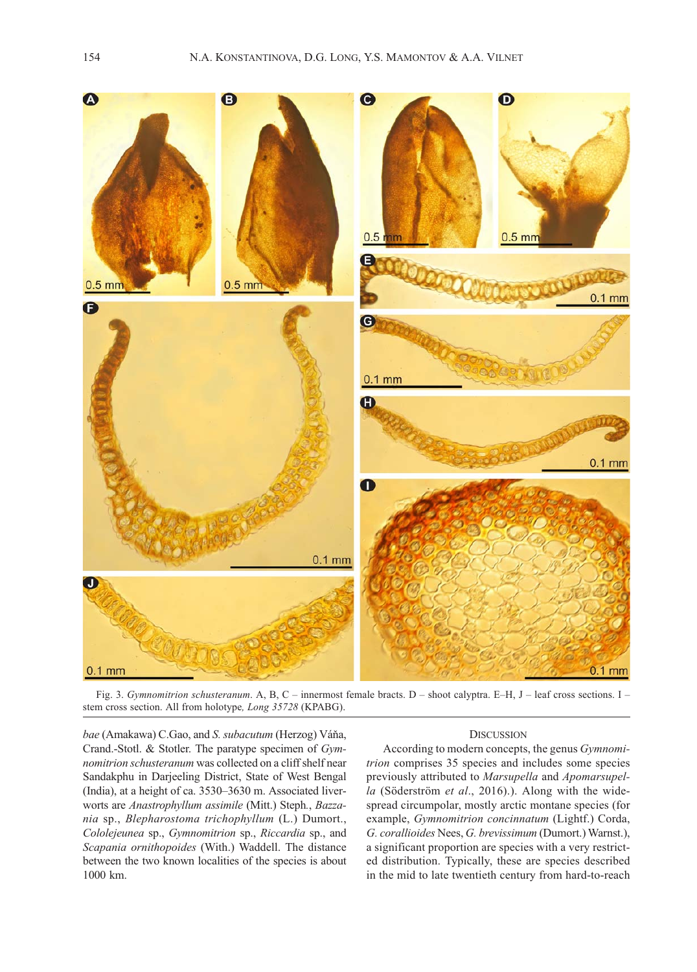

Fig. 3. Gymnomitrion schusteranum. A, B, C – innermost female bracts. D – shoot calyptra. E–H, J – leaf cross sections. I – stem cross section. All from holotype, Long 35728 (KPABG).

bae (Amakawa) C.Gao, and S. subacutum (Herzog) Váňa, Crand.-Stotl. & Stotler. The paratype specimen of Gymnomitrion schusteranum was collected on a cliff shelf near Sandakphu in Darjeeling District, State of West Bengal (India), at a height of ca. 3530–3630 m. Associated liverworts are Anastrophyllum assimile (Mitt.) Steph., Bazzania sp., Blepharostoma trichophyllum (L.) Dumort., Cololejeunea sp., Gymnomitrion sp., Riccardia sp., and Scapania ornithopoides (With.) Waddell. The distance between the two known localities of the species is about 1000 km.

## **DISCUSSION**

According to modern concepts, the genus Gymnomitrion comprises 35 species and includes some species previously attributed to Marsupella and Apomarsupella (Söderström et al., 2016).). Along with the widespread circumpolar, mostly arctic montane species (for example, Gymnomitrion concinnatum (Lightf.) Corda, G. corallioides Nees, G. brevissimum (Dumort.) Warnst.), a significant proportion are species with a very restricted distribution. Typically, these are species described in the mid to late twentieth century from hard-to-reach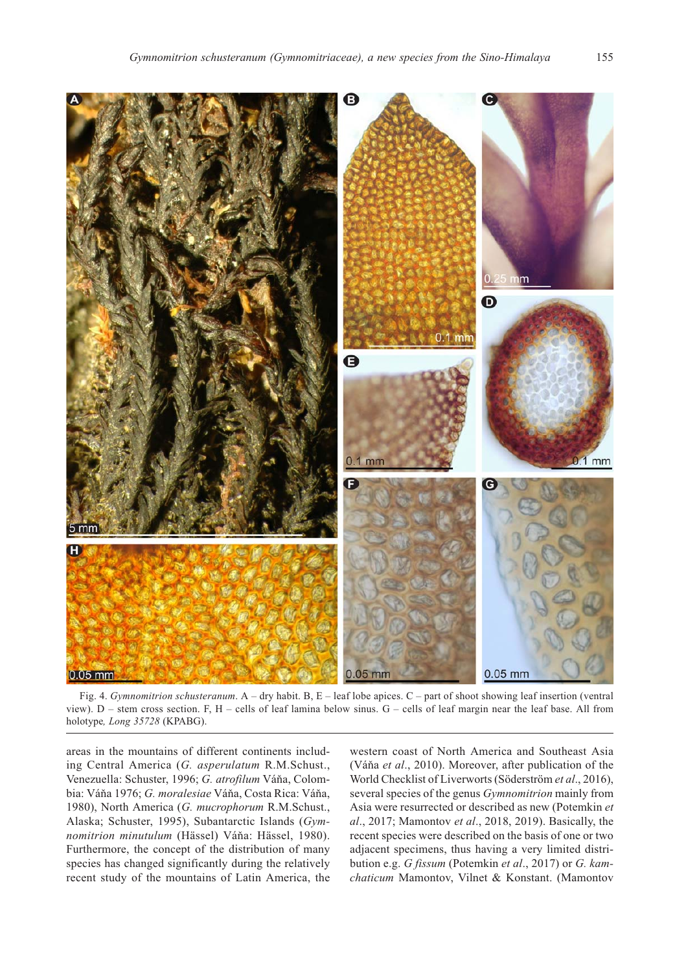

Fig. 4. Gymnomitrion schusteranum.  $A - dry$  habit. B,  $E - leaf$  lobe apices.  $C - part$  of shoot showing leaf insertion (ventral view). D – stem cross section. F, H – cells of leaf lamina below sinus. G – cells of leaf margin near the leaf base. All from holotype, Long 35728 (KPABG).

areas in the mountains of different continents including Central America (G. asperulatum R.M.Schust., Venezuella: Schuster, 1996; G. atrofilum Váňa, Colombia: Váňa 1976; G. moralesiae Váňa, Costa Rica: Váňa, 1980), North America (G. mucrophorum R.M.Schust., Alaska; Schuster, 1995), Subantarctic Islands (Gymnomitrion minutulum (Hässel) Váňa: Hässel, 1980). Furthermore, the concept of the distribution of many species has changed significantly during the relatively recent study of the mountains of Latin America, the

western coast of North America and Southeast Asia (Váňa et al., 2010). Moreover, after publication of the World Checklist of Liverworts (Söderström et al., 2016), several species of the genus *Gymnomitrion* mainly from Asia were resurrected or described as new (Potemkin et al., 2017; Mamontov et al., 2018, 2019). Basically, the recent species were described on the basis of one or two adjacent specimens, thus having a very limited distribution e.g. G fissum (Potemkin et al., 2017) or G. kamchaticum Mamontov, Vilnet & Konstant. (Mamontov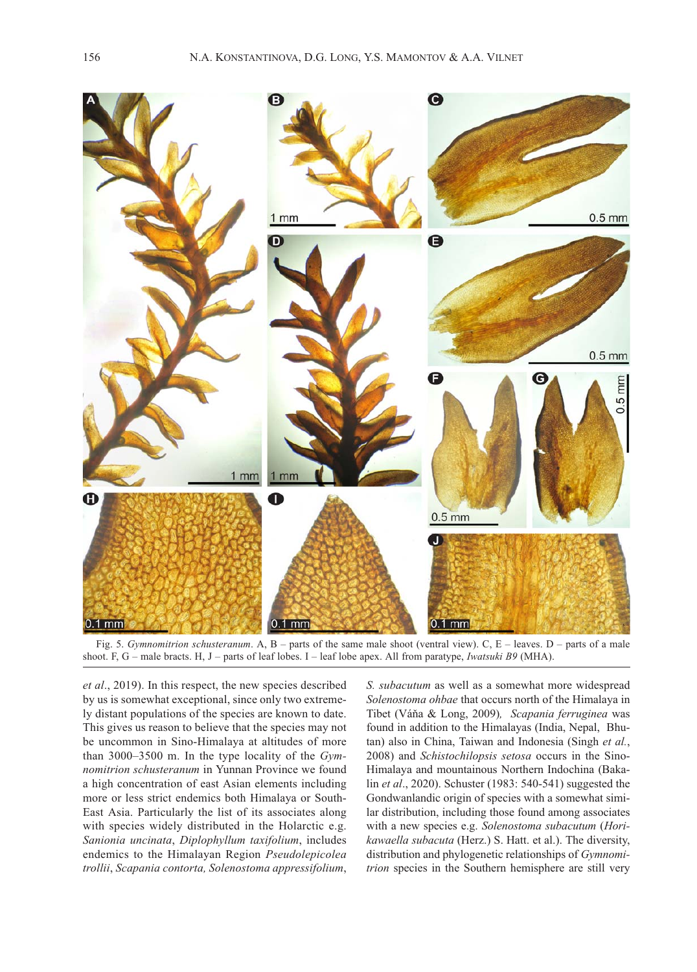

Fig. 5. Gymnomitrion schusteranum. A,  $B$  – parts of the same male shoot (ventral view). C,  $E$  – leaves. D – parts of a male shoot. F, G – male bracts. H, J – parts of leaf lobes. I – leaf lobe apex. All from paratype, Iwatsuki B9 (MHA).

et al., 2019). In this respect, the new species described by us is somewhat exceptional, since only two extremely distant populations of the species are known to date. This gives us reason to believe that the species may not be uncommon in Sino-Himalaya at altitudes of more than 3000–3500 m. In the type locality of the Gymnomitrion schusteranum in Yunnan Province we found a high concentration of east Asian elements including more or less strict endemics both Himalaya or South-East Asia. Particularly the list of its associates along with species widely distributed in the Holarctic e.g. Sanionia uncinata, Diplophyllum taxifolium, includes endemics to the Himalayan Region Pseudolepicolea trollii, Scapania contorta, Solenostoma appressifolium, S. subacutum as well as a somewhat more widespread Solenostoma ohbae that occurs north of the Himalaya in Tibet (Váňa & Long, 2009), Scapania ferruginea was found in addition to the Himalayas (India, Nepal, Bhutan) also in China, Taiwan and Indonesia (Singh et al., 2008) and Schistochilopsis setosa occurs in the Sino-Himalaya and mountainous Northern Indochina (Bakalin et al., 2020). Schuster (1983: 540-541) suggested the Gondwanlandic origin of species with a somewhat similar distribution, including those found among associates with a new species e.g. Solenostoma subacutum (Horikawaella subacuta (Herz.) S. Hatt. et al.). The diversity, distribution and phylogenetic relationships of Gymnomitrion species in the Southern hemisphere are still very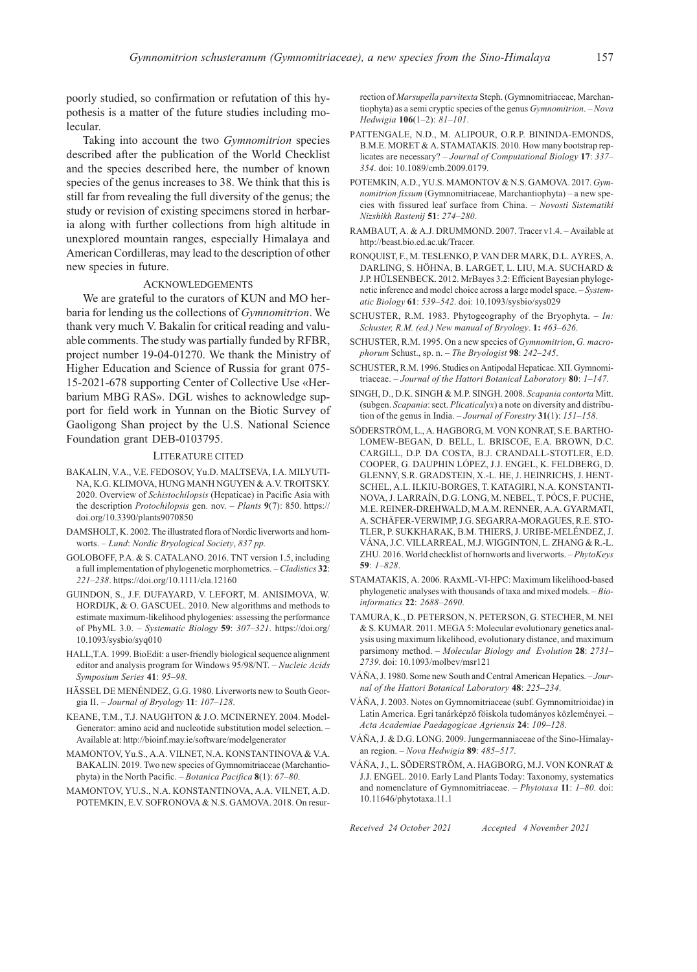poorly studied, so confirmation or refutation of this hypothesis is a matter of the future studies including molecular.

Taking into account the two Gymnomitrion species described after the publication of the World Checklist and the species described here, the number of known species of the genus increases to 38. We think that this is still far from revealing the full diversity of the genus; the study or revision of existing specimens stored in herbaria along with further collections from high altitude in unexplored mountain ranges, especially Himalaya and American Cordilleras, may lead to the description of other new species in future.

## ACKNOWLEDGEMENTS

We are grateful to the curators of KUN and MO herbaria for lending us the collections of Gymnomitrion. We thank very much V. Bakalin for critical reading and valuable comments. The study was partially funded by RFBR, project number 19-04-01270. We thank the Ministry of Higher Education and Science of Russia for grant 075- 15-2021-678 supporting Center of Collective Use «Herbarium MBG RAS». DGL wishes to acknowledge support for field work in Yunnan on the Biotic Survey of Gaoligong Shan project by the U.S. National Science Foundation grant DEB-0103795.

#### LITERATURE CITED

- BAKALIN, V.A., V.E. FEDOSOV, Yu.D. MALTSEVA, I.A. MILYUTI-NA, K.G. KLIMOVA, HUNG MANH NGUYEN & A.V. TROITSKY. 2020. Overview of Schistochilopsis (Hepaticae) in Pacific Asia with the description Protochilopsis gen. nov. – Plants 9(7): 850. https:// doi.org/10.3390/plants9070850
- DAMSHOLT, K. 2002. The illustrated flora of Nordic liverworts and hornworts. – Lund: Nordic Bryological Society, 837 pp.
- GOLOBOFF, P.A. & S. CATALANO. 2016. TNT version 1.5, including a full implementation of phylogenetic morphometrics. – Cladistics 32: 221–238. https://doi.org/10.1111/cla.12160
- GUINDON, S., J.F. DUFAYARD, V. LEFORT, M. ANISIMOVA, W. HORDIJK, & O. GASCUEL. 2010. New algorithms and methods to estimate maximum-likelihood phylogenies: assessing the performance of PhyML 3.0. – Systematic Biology 59: 307–321. https://doi.org/ 10.1093/sysbio/syq010
- HALL,T.A. 1999. BioEdit: a user-friendly biological sequence alignment editor and analysis program for Windows 95/98/NT. – Nucleic Acids Symposium Series 41: 95–98.
- HÄSSEL DE MENÉNDEZ, G.G. 1980. Liverworts new to South Georgia II. – Journal of Bryology 11: 107–128.
- KEANE, T.M., T.J. NAUGHTON & J.O. MCINERNEY. 2004. Model-Generator: amino acid and nucleotide substitution model selection. – Available at: http://bioinf.may.ie/software/modelgenerator
- MAMONTOV, Yu.S., A.A. VILNET, N.A. KONSTANTINOVA & V.A. BAKALIN. 2019. Two new species of Gymnomitriaceae (Marchantiophyta) in the North Pacific. – Botanica Pacifica 8(1): 67–80.
- MAMONTOV, YU.S., N.A. KONSTANTINOVA, A.A. VILNET, A.D. POTEMKIN, E.V. SOFRONOVA & N.S. GAMOVA. 2018. On resur-

rection of Marsupella parvitexta Steph. (Gymnomitriaceae, Marchantiophyta) as a semi cryptic species of the genus Gymnomitrion. – Nova Hedwigia 106(1–2): 81–101.

- PATTENGALE, N.D., M. ALIPOUR, O.R.P. BININDA-EMONDS, B.M.E. MORET & A. STAMATAKIS. 2010. How many bootstrap replicates are necessary? – Journal of Computational Biology 17: 337– 354. doi: 10.1089/cmb.2009.0179.
- POTEMKIN, A.D., YU.S. MAMONTOV & N.S. GAMOVA. 2017. Gymnomitrion fissum (Gymnomitriaceae, Marchantiophyta) – a new species with fissured leaf surface from China. – Novosti Sistematiki Nizshikh Rastenij 51: 274–280.
- RAMBAUT, A. & A.J. DRUMMOND. 2007. Tracer v1.4. Available at http://beast.bio.ed.ac.uk/Tracer.
- RONQUIST, F., M. TESLENKO, P. VAN DER MARK, D.L. AYRES, A. DARLING, S. HÖHNA, B. LARGET, L. LIU, M.A. SUCHARD & J.P. HÜLSENBECK. 2012. MrBayes 3.2: Efficient Bayesian phylogenetic inference and model choice across a large model space. – Systematic Biology 61: 539–542. doi: 10.1093/sysbio/sys029
- SCHUSTER, R.M. 1983. Phytogeography of the Bryophyta. In: Schuster, R.M. (ed.) New manual of Bryology. 1: 463-626.
- SCHUSTER, R.M. 1995. On a new species of Gymnomitrion, G. macrophorum Schust., sp. n. – The Bryologist 98: 242–245.
- SCHUSTER, R.M. 1996. Studies on Antipodal Hepaticae. XII. Gymnomitriaceae. – Journal of the Hattori Botanical Laboratory 80: 1–147.
- SINGH, D., D.K. SINGH & M.P. SINGH. 2008. Scapania contorta Mitt. (subgen. Scapania: sect. Plicaticalyx) a note on diversity and distribution of the genus in India. - Journal of Forestry 31(1): 151-158.
- SÖDERSTRÖM, L., A. HAGBORG, M. VON KONRAT, S.E. BARTHO-LOMEW-BEGAN, D. BELL, L. BRISCOE, E.A. BROWN, D.C. CARGILL, D.P. DA COSTA, B.J. CRANDALL-STOTLER, E.D. COOPER, G. DAUPHIN LÓPEZ, J.J. ENGEL, K. FELDBERG, D. GLENNY, S.R. GRADSTEIN, X.-L. HE, J. HEINRICHS, J. HENT-SCHEL, A.L. ILKIU-BORGES, T. KATAGIRI, N.A. KONSTANTI-NOVA, J. LARRAÍN, D.G. LONG, M. NEBEL, T. PÓCS, F. PUCHE, M.E. REINER-DREHWALD, M.A.M. RENNER, A.A. GYARMATI, A. SCHÄFER-VERWIMP, J.G. SEGARRA-MORAGUES, R.E. STO-TLER, P. SUKKHARAK, B.M. THIERS, J. URIBE-MELÉNDEZ, J. VÁNA, J.C. VILLARREAL, M.J. WIGGINTON, L. ZHANG & R.-L. ZHU. 2016. World checklist of hornworts and liverworts. – PhytoKeys 59: 1–828.
- STAMATAKIS, A. 2006. RAxML-VI-HPC: Maximum likelihood-based phylogenetic analyses with thousands of taxa and mixed models. – Bioinformatics 22: 2688–2690.
- TAMURA, K., D. PETERSON, N. PETERSON, G. STECHER, M. NEI & S. KUMAR. 2011. MEGA 5: Molecular evolutionary genetics analysis using maximum likelihood, evolutionary distance, and maximum parsimony method. – Molecular Biology and Evolution 28: 2731– 2739. doi: 10.1093/molbev/msr121
- VÁŇA, J. 1980. Some new South and Central American Hepatics. Journal of the Hattori Botanical Laboratory 48: 225–234.
- VÁŇA, J. 2003. Notes on Gymnomitriaceae (subf. Gymnomitrioidae) in Latin America. Egri tanárképzö föiskola tudományos közleményei. – Acta Academiae Paedagogicae Agriensis 24: 109–128.
- VÁŇA, J. & D.G. LONG. 2009. Jungermanniaceae of the Sino-Himalayan region. – Nova Hedwigia 89: 485–517.
- VÁŇA, J., L. SÖDERSTRÖM, A. HAGBORG, M.J. VON KONRAT & J.J. ENGEL. 2010. Early Land Plants Today: Taxonomy, systematics and nomenclature of Gymnomitriaceae. – Phytotaxa 11: 1–80. doi: 10.11646/phytotaxa.11.1

Received 24 October 2021 Accepted 4 November 2021